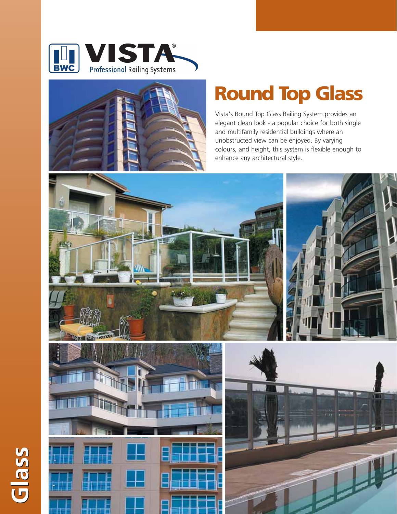



**Glass**

## **Round Top Glass**

Vista's Round Top Glass Railing System provides an elegant clean look - a popular choice for both single and multifamily residential buildings where an unobstructed view can be enjoyed. By varying colours, and height, this system is flexible enough to enhance any architectural style.